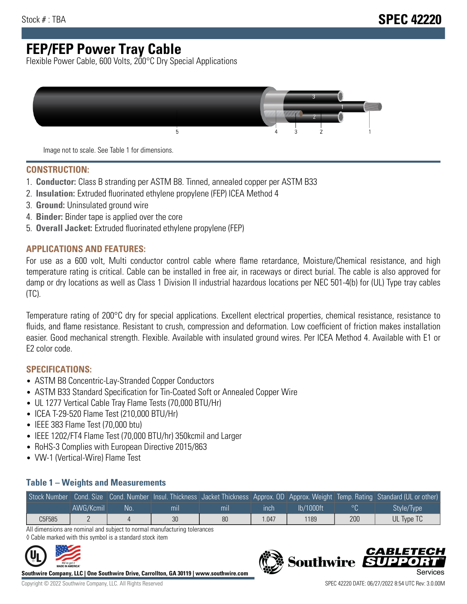# **FEP/FEP Power Tray Cable**

Flexible Power Cable, 600 Volts, 200°C Dry Special Applications



Image not to scale. See Table 1 for dimensions.

#### **CONSTRUCTION:**

- 1. **Conductor:** Class B stranding per ASTM B8. Tinned, annealed copper per ASTM B33
- 2. **Insulation:** Extruded fluorinated ethylene propylene (FEP) ICEA Method 4
- 3. **Ground:** Uninsulated ground wire
- 4. **Binder:** Binder tape is applied over the core
- 5. **Overall Jacket:** Extruded fluorinated ethylene propylene (FEP)

### **APPLICATIONS AND FEATURES:**

For use as a 600 volt, Multi conductor control cable where flame retardance, Moisture/Chemical resistance, and high temperature rating is critical. Cable can be installed in free air, in raceways or direct burial. The cable is also approved for damp or dry locations as well as Class 1 Division II industrial hazardous locations per NEC 501-4(b) for (UL) Type tray cables (TC).

Temperature rating of 200°C dry for special applications. Excellent electrical properties, chemical resistance, resistance to fluids, and flame resistance. Resistant to crush, compression and deformation. Low coefficient of friction makes installation easier. Good mechanical strength. Flexible. Available with insulated ground wires. Per ICEA Method 4. Available with E1 or E2 color code.

### **SPECIFICATIONS:**

- ASTM B8 Concentric-Lay-Stranded Copper Conductors
- ASTM B33 Standard Specification for Tin-Coated Soft or Annealed Copper Wire
- UL 1277 Vertical Cable Tray Flame Tests (70,000 BTU/Hr)
- ICEA T-29-520 Flame Test (210,000 BTU/Hr)
- IEEE 383 Flame Test (70,000 btu)
- IEEE 1202/FT4 Flame Test (70,000 BTU/hr) 350kcmil and Larger
- RoHS-3 Complies with European Directive 2015/863
- VW-1 (Vertical-Wire) Flame Test

#### **Table 1 – Weights and Measurements**

|        |           |     |     |     |      |           |     | Stock Number Cond. Size Cond. Number Insul. Thickness Jacket Thickness Approx. OD Approx. Weight Temp. Rating Standard (UL or other) |
|--------|-----------|-----|-----|-----|------|-----------|-----|--------------------------------------------------------------------------------------------------------------------------------------|
|        | AWG/Kcmil | No. | mıl | mil | ınch | lb/1000ft |     | Style/Type                                                                                                                           |
| C5F585 |           |     | 30  | 80  | .047 | 1189      | 200 | UL Type TC                                                                                                                           |

All dimensions are nominal and subject to normal manufacturing tolerances ◊ Cable marked with this symbol is a standard stock item



**Southwire Company, LLC | One Southwire Drive, Carrollton, GA 30119 | www.southwire.com**